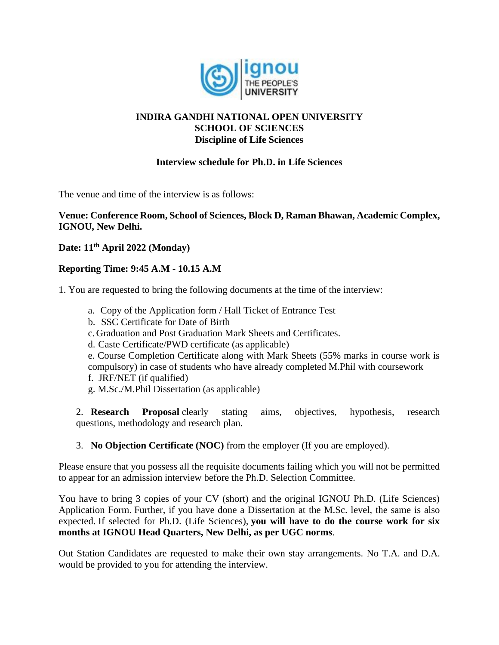

# **INDIRA GANDHI NATIONAL OPEN UNIVERSITY SCHOOL OF SCIENCES Discipline of Life Sciences**

### **Interview schedule for Ph.D. in Life Sciences**

The venue and time of the interview is as follows:

#### **Venue: Conference Room, School of Sciences, Block D, Raman Bhawan, Academic Complex, IGNOU, New Delhi.**

# **Date: 11th April 2022 (Monday)**

# **Reporting Time: 9:45 A.M - 10.15 A.M**

1. You are requested to bring the following documents at the time of the interview:

- a. Copy of the Application form / Hall Ticket of Entrance Test
- b. SSC Certificate for Date of Birth
- c. Graduation and Post Graduation Mark Sheets and Certificates.
- d. Caste Certificate/PWD certificate (as applicable)

e. Course Completion Certificate along with Mark Sheets (55% marks in course work is compulsory) in case of students who have already completed M.Phil with coursework

- f. JRF/NET (if qualified)
- g. M.Sc./M.Phil Dissertation (as applicable)

2. **Research Proposal** clearly stating aims, objectives, hypothesis, research questions, methodology and research plan.

3. **No Objection Certificate (NOC)** from the employer (If you are employed).

Please ensure that you possess all the requisite documents failing which you will not be permitted to appear for an admission interview before the Ph.D. Selection Committee.

You have to bring 3 copies of your CV (short) and the original IGNOU Ph.D. (Life Sciences) Application Form. Further, if you have done a Dissertation at the M.Sc. level, the same is also expected. If selected for Ph.D. (Life Sciences), **you will have to do the course work for six months at IGNOU Head Quarters, New Delhi, as per UGC norms**.

Out Station Candidates are requested to make their own stay arrangements. No T.A. and D.A. would be provided to you for attending the interview.